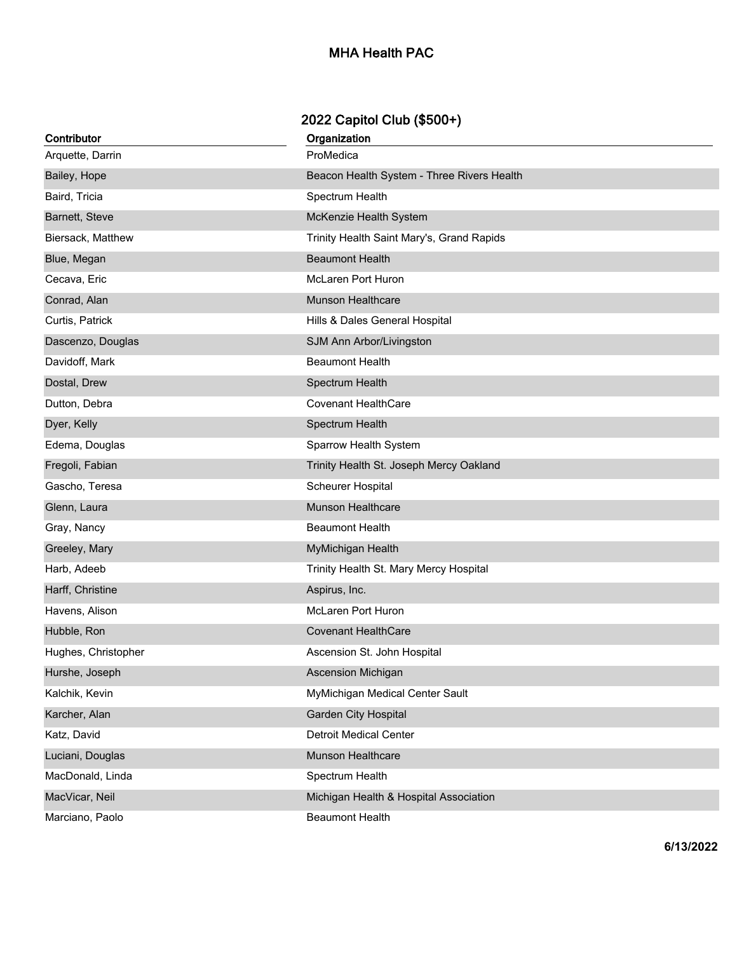## **2022 Capitol Club (\$500+)**

| Contributor         | Organization                               |
|---------------------|--------------------------------------------|
| Arquette, Darrin    | ProMedica                                  |
| Bailey, Hope        | Beacon Health System - Three Rivers Health |
| Baird, Tricia       | Spectrum Health                            |
| Barnett, Steve      | McKenzie Health System                     |
| Biersack, Matthew   | Trinity Health Saint Mary's, Grand Rapids  |
| Blue, Megan         | <b>Beaumont Health</b>                     |
| Cecava, Eric        | <b>McLaren Port Huron</b>                  |
| Conrad, Alan        | <b>Munson Healthcare</b>                   |
| Curtis, Patrick     | Hills & Dales General Hospital             |
| Dascenzo, Douglas   | SJM Ann Arbor/Livingston                   |
| Davidoff, Mark      | <b>Beaumont Health</b>                     |
| Dostal, Drew        | Spectrum Health                            |
| Dutton, Debra       | <b>Covenant HealthCare</b>                 |
| Dyer, Kelly         | Spectrum Health                            |
| Edema, Douglas      | Sparrow Health System                      |
| Fregoli, Fabian     | Trinity Health St. Joseph Mercy Oakland    |
| Gascho, Teresa      | Scheurer Hospital                          |
| Glenn, Laura        | Munson Healthcare                          |
| Gray, Nancy         | <b>Beaumont Health</b>                     |
| Greeley, Mary       | MyMichigan Health                          |
| Harb, Adeeb         | Trinity Health St. Mary Mercy Hospital     |
| Harff, Christine    | Aspirus, Inc.                              |
| Havens, Alison      | <b>McLaren Port Huron</b>                  |
| Hubble, Ron         | <b>Covenant HealthCare</b>                 |
| Hughes, Christopher | Ascension St. John Hospital                |
| Hurshe, Joseph      | Ascension Michigan                         |
| Kalchik, Kevin      | MyMichigan Medical Center Sault            |
| Karcher, Alan       | <b>Garden City Hospital</b>                |
| Katz, David         | <b>Detroit Medical Center</b>              |
| Luciani, Douglas    | Munson Healthcare                          |
| MacDonald, Linda    | Spectrum Health                            |
| MacVicar, Neil      | Michigan Health & Hospital Association     |
| Marciano, Paolo     | <b>Beaumont Health</b>                     |